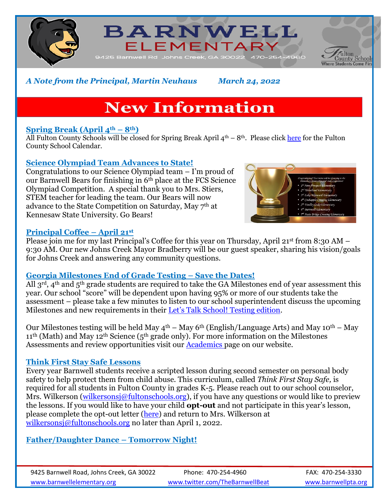





*A Note from the Principal, Martin Neuhaus March 24, 2022*

# **New Information**

# **Spring Break (April**  $4^{\text{th}} - 8^{\text{th}}$ **)**

All Fulton County Schools will be closed for Spring Break April  $4<sup>th</sup> - 8<sup>th</sup>$ . Please click [here](https://www.fultonschools.org/cms/lib/GA50000114/Centricity/Domain/4/2021_22_FCS%20CalendarFullColor_20220106.pdf) for the Fulton County School Calendar.

## **Science Olympiad Team Advances to State!**

Congratulations to our Science Olympiad team – I'm proud of our Barnwell Bears for finishing in 6th place at the FCS Science Olympiad Competition. A special thank you to Mrs. Stiers, STEM teacher for leading the team. Our Bears will now advance to the State Competition on Saturday, May 7th at Kennesaw State University. Go Bears!

#### **Principal Coffee – April 21st**

Please join me for my last Principal's Coffee for this year on Thursday, April 21<sup>st</sup> from 8:30 AM – 9:30 AM. Our new Johns Creek Mayor Bradberry will be our guest speaker, sharing his vision/goals for Johns Creek and answering any community questions.

## **Georgia Milestones End of Grade Testing – Save the Dates!**

All  $3^{rd}$ , 4<sup>th</sup> and  $5^{th}$  grade students are required to take the GA Milestones end of year assessment this year. Our school "score" will be dependent upon having 95% or more of our students take the assessment – please take a few minutes to listen to our school superintendent discuss the upcoming Milestones and new requirements in their [Let's Talk School! Testing edition](https://www.fultonschools.org/site/default.aspx?PageType=3&DomainID=8163&ModuleInstanceID=7115&ViewID=6446EE88-D30C-497E-9316-3F8874B3E108&RenderLoc=0&FlexDataID=128843&PageID=23026).

Our Milestones testing will be held May  $4<sup>th</sup> -$  May 6<sup>th</sup> (English/Language Arts) and May 10<sup>th</sup> – May  $11<sup>th</sup>$  (Math) and May  $12<sup>th</sup>$  Science (5<sup>th</sup> grade only). For more information on the Milestones Assessments and review opportunities visit our [Academics p](https://www.fultonschools.org/domain/6077)age on our website.

## **Think First Stay Safe Lessons**

Every year Barnwell students receive a scripted lesson during second semester on personal body safety to help protect them from child abuse. This curriculum, called *Think First Stay Safe,* is required for all students in Fulton County in grades K-5. Please reach out to our school counselor, Mrs. Wilkerson [\(wilkersonsj@fultonschools.org\)](mailto:wilkersonsj@fultonschools.org), if you have any questions or would like to preview the lessons. If you would like to have your child **opt-out** and not participate in this year's lesson, please complete the opt-out letter [\(here\)](https://www.fultonschools.org/cms/lib/GA50000114/Centricity/Domain/6069/TFSS%20Parent%20Opt-Out%20Letter.pdf) and return to Mrs. Wilkerson at [wilkersonsj@fultonschools.org](mailto:wilkersonsj@fultonschools.org) no later than April 1, 2022.

**Father/Daughter Dance – Tomorrow Night!**

9425 Barnwell Road, Johns Creek, GA 30022 Phone: 470-254-4960 FAX: 470-254-3330 [www.barnwellelementary.org](http://www.barnwellelementary.org/) [www.twitter.com/TheBarnwellBeat](http://www.twitter.com/TheBarnwellBeat) [www.barnwellpta.org](http://www.barnwellpta.org/)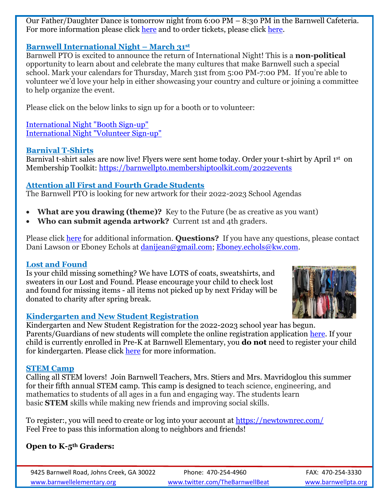Our Father/Daughter Dance is tomorrow night from 6:00 PM – 8:30 PM in the Barnwell Cafeteria. For more information please click [here](https://www.fultonschools.org/cms/lib/GA50000114/Centricity/Domain/6069/Father%20Daughter%20Dance%20Flyer.pdf) and to order tickets, please click [here.](https://barnwellpto.membershiptoolkit.com/2022events)

## **Barnwell International Night – March 31st**

Barnwell PTO is excited to announce the return of International Night! This is a **non-political**  opportunity to learn about and celebrate the many cultures that make Barnwell such a special school. Mark your calendars for Thursday, March 31st from 5:00 PM-7:00 PM. If you're able to volunteer we'd love your help in either showcasing your country and culture or joining a committee to help organize the event.

Please click on the below links to sign up for a booth or to volunteer:

[International Night "Booth Sign-up"](https://www.signupgenius.com/go/5080544aaad28a7fa7-barnwell) [International Night "Volunteer Sign-up"](https://www.signupgenius.com/go/5080544aaad28a7fa7-barnwell1)

## **Barnival T-Shirts**

Barnival t-shirt sales are now live! Flyers were sent home today. Order your t-shirt by April 1st on Membership Toolkit: [https://barnwellpto.membershiptoolkit.com/2022events](https://nam11.safelinks.protection.outlook.com/?url=https%3A%2F%2Fbarnwellpto.membershiptoolkit.com%2F2022events&data=04%7C01%7CAgertonS%40fultonschools.org%7Cb550e4f36d3f424b287d08da07b92704%7C0cdcb19881694b70ba9fda7e3ba700c2%7C1%7C0%7C637830789064478560%7CUnknown%7CTWFpbGZsb3d8eyJWIjoiMC4wLjAwMDAiLCJQIjoiV2luMzIiLCJBTiI6Ik1haWwiLCJXVCI6Mn0%3D%7C3000&sdata=lHCGbtFKGEOEUKiSJISIgKvNjksrhXYeUao5bXjLXhs%3D&reserved=0)

# **Attention all First and Fourth Grade Students**

The Barnwell PTO is looking for new artwork for their 2022-2023 School Agendas

- **What are you drawing (theme)?** Key to the Future (be as creative as you want)
- **Who can submit agenda artwork?** Current 1st and 4th graders.

Please click [here](https://www.fultonschools.org/cms/lib/GA50000114/Centricity/Domain/6069/Planner%20Flyer.pdf) for additional information. **Questions?** If you have any questions, please contact Dani Lawson or Eboney Echols at [danijean@gmail.com;](mailto:danijean@gmail.com) [Eboney.echols@kw.com.](mailto:Eboney.echols@kw.com)

## **Lost and Found**

Is your child missing something? We have LOTS of coats, sweatshirts, and sweaters in our Lost and Found. Please encourage your child to check lost and found for missing items - all items not picked up by next Friday will be donated to charity after spring break.



## **Kindergarten and New Student Registration**

Kindergarten and New Student Registration for the 2022-2023 school year has begun. Parents/Guardians of new students will complete the online registration application [here.](https://www.fultonschools.org/enrollment) If your child is currently enrolled in Pre-K at Barnwell Elementary, you **do not** need to register your child for kindergarten. Please click [here](https://www.fultonschools.org/cms/lib/GA50000114/Centricity/Domain/6069/KK%20Registration%20flyer%20for%202022-23.pdf) for more information.

## **STEM Camp**

Calling all STEM lovers! Join Barnwell Teachers, Mrs. Stiers and Mrs. Mavridoglou this summer for their fifth annual STEM camp. This camp is designed to teach science, engineering, and mathematics to students of all ages in a fun and engaging way. The students learn basic **STEM** skills while making new friends and improving social skills.

To register:, you will need to create or log into your account at [https://newtownrec.com/](https://nam11.safelinks.protection.outlook.com/?url=https%3A%2F%2Fnewtownrec.com%2F&data=04%7C01%7CAgertonS%40fultonschools.org%7Ca7047ff4787e4b92622708da08412a5b%7C0cdcb19881694b70ba9fda7e3ba700c2%7C1%7C0%7C637831373229740127%7CUnknown%7CTWFpbGZsb3d8eyJWIjoiMC4wLjAwMDAiLCJQIjoiV2luMzIiLCJBTiI6Ik1haWwiLCJXVCI6Mn0%3D%7C3000&sdata=%2F3R7klwnyYE1Z0W9Xa8tFAFN%2FVPxXSZqRCSc%2FvaLDeA%3D&reserved=0) Feel Free to pass this information along to neighbors and friends!

## **Open to K-5th Graders:**

9425 Barnwell Road, Johns Creek, GA 30022 Phone: 470-254-4960 FAX: 470-254-3330 [www.barnwellelementary.org](http://www.barnwellelementary.org/) [www.twitter.com/TheBarnwellBeat](http://www.twitter.com/TheBarnwellBeat) [www.barnwellpta.org](http://www.barnwellpta.org/)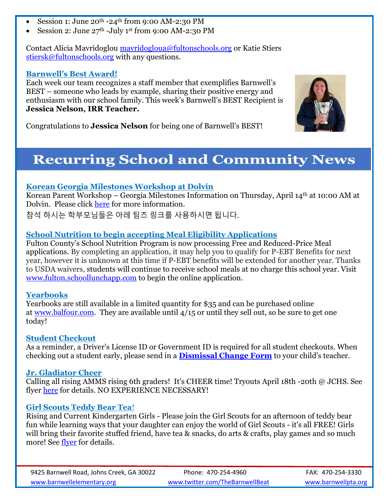- Session 1: June  $20^{th}$  -24<sup>th</sup> from 9:00 AM-2:30 PM
- Session 2: June 27th -July 1st from 9:00 AM-2:30 PM

Contact Alicia Mavridoglou [mavridogloua@fultonschools.org](mailto:mavridogloua@fultonschools.org) or Katie Stiers [stiersk@fultonschools.org](mailto:stiersk@fultonschools.org) with any questions.

#### **Barnwell's Best Award!**

Each week our team recognizes a staff member that exemplifies Barnwell's BEST – someone who leads by example, sharing their positive energy and enthusiasm with our school family. This week's Barnwell's BEST Recipient is **Jessica Nelson, IRR Teacher.**



Congratulations to **Jessica Nelson** for being one of Barnwell's BEST!

# **Recurring School and Community News**

#### **Korean Georgia Milestones Workshop at Dolvin**

Korean Parent Workshop – Georgia Milestones Information on Thursday, April 14th at 10:00 AM at Dolvin. Please click [here](https://www.fultonschools.org/cms/lib/GA50000114/Centricity/Domain/6069/Korean_Milestones%20Workshop_%20April%202022.pdf) for more information.

참석 하시는 학부모님들은 아레 팀즈 링크를 사용하시면 됩니다.

# **School Nutrition to begin accepting Meal Eligibility Applications**

Fulton County's School Nutrition Program is now processing Free and Reduced-Price Meal applications. By completing an application, it may help you to qualify for P-EBT Benefits for next year, however it is unknown at this time if P-EBT benefits will be extended for another year. Thanks to USDA waivers, students will continue to receive school meals at no charge this school year. Visit [www.fulton.schoollunchapp.com](http://www.fulton.schoollunchapp.com/) to begin the online application.

#### **Yearbooks**

Yearbooks are still available in a limited quantity for \$35 and can be purchased online at [www.balfour.com.](https://nam11.safelinks.protection.outlook.com/?url=http%3A%2F%2Fwww.balfour.com%2F&data=04%7C01%7Cagertons%40fultonschools.org%7C71364a0902154f250b0908da06b9c508%7C0cdcb19881694b70ba9fda7e3ba700c2%7C1%7C0%7C637829692197002561%7CUnknown%7CTWFpbGZsb3d8eyJWIjoiMC4wLjAwMDAiLCJQIjoiV2luMzIiLCJBTiI6Ik1haWwiLCJXVCI6Mn0%3D%7C3000&sdata=OkfG329iqTfQHlW%2FHgjNUz2m4zNpU8whL%2FeVmGYxb4Y%3D&reserved=0) They are available until 4/15 or until they sell out, so be sure to get one today!

## **Student Checkout**

As a reminder, a Driver's License ID or Government ID is required for all student checkouts. When checking out a student early, please send in a **[Dismissal Change Form](https://www.fultonschools.org/cms/lib/GA50000114/Centricity/Domain/6071/Dismissal%20Change.pdf)** to your child's teacher.

#### **Jr. Gladiator Cheer**

Calling all rising AMMS rising 6th graders! It's CHEER time! Tryouts April 18th -20th @ JCHS. See flyer [here](https://www.fultonschools.org/cms/lib/GA50000114/Centricity/Domain/6069/Jr%20Gladiator%20Cheer.jpg) for details. NO EXPERIENCE NECESSARY!

## **Girl Scouts Teddy Bear Tea**!

Rising and Current Kindergarten Girls - Please join the Girl Scouts for an afternoon of teddy bear fun while learning ways that your daughter can enjoy the world of Girl Scouts - it's all FREE! Girls will bring their favorite stuffed friend, have tea & snacks, do arts & crafts, play games and so much more! See [flyer](https://nam11.safelinks.protection.outlook.com/?url=https%3A%2F%2Fdrive.google.com%2Ffile%2Fd%2F1hF8_zEWIE3cxNiX1PZAWMHlvYDKItmEN%2Fview%3Fusp%3Dsharing&data=04%7C01%7CAgertonS%40fultonschools.org%7Ce6851a14b1814e112e4c08da06934ffc%7C0cdcb19881694b70ba9fda7e3ba700c2%7C1%7C0%7C637829527022743023%7CUnknown%7CTWFpbGZsb3d8eyJWIjoiMC4wLjAwMDAiLCJQIjoiV2luMzIiLCJBTiI6Ik1haWwiLCJXVCI6Mn0%3D%7C3000&sdata=NdV%2BFLJFSKZpilcal61kKdR27Fmg5hVbV3dXoyTcxgA%3D&reserved=0) for details.

9425 Barnwell Road, Johns Creek, GA 30022 Phone: 470-254-4960 FAX: 470-254-3330 [www.barnwellelementary.org](http://www.barnwellelementary.org/) [www.twitter.com/TheBarnwellBeat](http://www.twitter.com/TheBarnwellBeat) [www.barnwellpta.org](http://www.barnwellpta.org/)